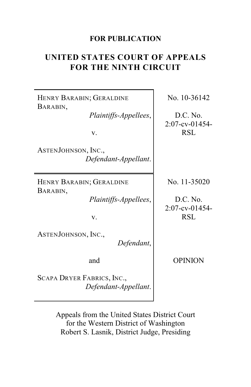#### **FOR PUBLICATION**

# **UNITED STATES COURT OF APPEALS FOR THE NINTH CIRCUIT**

HENRY BARABIN; GERALDINE BARABIN,

*Plaintiffs-Appellees*,

v.

ASTENJOHNSON, INC., *Defendant-Appellant*.

HENRY BARABIN; GERALDINE BARABIN,

*Plaintiffs-Appellees*,

v.

ASTENJOHNSON, INC.,

*Defendant*,

and

SCAPA DRYER FABRICS, INC., *Defendant-Appellant*. No. 10-36142

D.C. No. 2:07-cv-01454- RSL

No. 11-35020

D.C. No. 2:07-cv-01454- RSL

OPINION

Appeals from the United States District Court for the Western District of Washington Robert S. Lasnik, District Judge, Presiding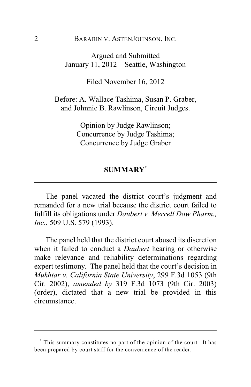Argued and Submitted January 11, 2012—Seattle, Washington

Filed November 16, 2012

Before: A. Wallace Tashima, Susan P. Graber, and Johnnie B. Rawlinson, Circuit Judges.

> Opinion by Judge Rawlinson; Concurrence by Judge Tashima; Concurrence by Judge Graber

#### **SUMMARY \***

The panel vacated the district court's judgment and remanded for a new trial because the district court failed to fulfill its obligations under *Daubert v. Merrell Dow Pharm., Inc.*, 509 U.S. 579 (1993).

The panel held that the district court abused its discretion when it failed to conduct a *Daubert* hearing or otherwise make relevance and reliability determinations regarding expert testimony. The panel held that the court's decision in *Mukhtar v. California State University*, 299 F.3d 1053 (9th Cir. 2002), *amended by* 319 F.3d 1073 (9th Cir. 2003) (order), dictated that a new trial be provided in this circumstance.

This summary constitutes no part of the opinion of the court. It has **\*** been prepared by court staff for the convenience of the reader.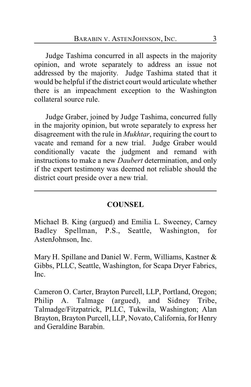Judge Tashima concurred in all aspects in the majority opinion, and wrote separately to address an issue not addressed by the majority. Judge Tashima stated that it would be helpful if the district court would articulate whether there is an impeachment exception to the Washington collateral source rule.

Judge Graber, joined by Judge Tashima, concurred fully in the majority opinion, but wrote separately to express her disagreement with the rule in *Mukhtar*, requiring the court to vacate and remand for a new trial. Judge Graber would conditionally vacate the judgment and remand with instructions to make a new *Daubert* determination, and only if the expert testimony was deemed not reliable should the district court preside over a new trial.

## **COUNSEL**

Michael B. King (argued) and Emilia L. Sweeney, Carney Badley Spellman, P.S., Seattle, Washington, for AstenJohnson, Inc.

Mary H. Spillane and Daniel W. Ferm, Williams, Kastner & Gibbs, PLLC, Seattle, Washington, for Scapa Dryer Fabrics, Inc.

Cameron O. Carter, Brayton Purcell, LLP, Portland, Oregon; Philip A. Talmage (argued), and Sidney Tribe, Talmadge/Fitzpatrick, PLLC, Tukwila, Washington; Alan Brayton, Brayton Purcell, LLP, Novato, California, for Henry and Geraldine Barabin.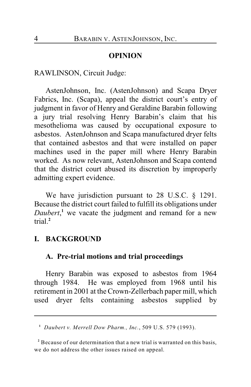#### **OPINION**

RAWLINSON, Circuit Judge:

AstenJohnson, Inc. (AstenJohnson) and Scapa Dryer Fabrics, Inc. (Scapa), appeal the district court's entry of judgment in favor of Henry and Geraldine Barabin following a jury trial resolving Henry Barabin's claim that his mesothelioma was caused by occupational exposure to asbestos. AstenJohnson and Scapa manufactured dryer felts that contained asbestos and that were installed on paper machines used in the paper mill where Henry Barabin worked. As now relevant, AstenJohnson and Scapa contend that the district court abused its discretion by improperly admitting expert evidence.

We have jurisdiction pursuant to 28 U.S.C. § 1291. Because the district court failed to fulfill its obligations under *Daubert*<sup>1</sup>, we vacate the judgment and remand for a new trial.**<sup>2</sup>**

## **I. BACKGROUND**

## **A. Pre-trial motions and trial proceedings**

Henry Barabin was exposed to asbestos from 1964 through 1984. He was employed from 1968 until his retirement in 2001 at the Crown-Zellerbach paper mill, which used dryer felts containing asbestos supplied by

*Daubert v. Merrell Dow Pharm., Inc.*, 509 U.S. 579 (1993). **<sup>1</sup>**

<sup>&</sup>lt;sup>2</sup> Because of our determination that a new trial is warranted on this basis, we do not address the other issues raised on appeal.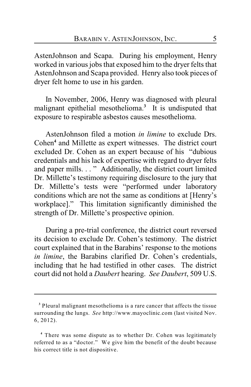AstenJohnson and Scapa. During his employment, Henry worked in various jobs that exposed him to the dryer felts that AstenJohnson and Scapa provided. Henry also took pieces of dryer felt home to use in his garden.

In November, 2006, Henry was diagnosed with pleural malignant epithelial mesothelioma.<sup>3</sup> It is undisputed that exposure to respirable asbestos causes mesothelioma.

AstenJohnson filed a motion *in limine* to exclude Drs. Cohen<sup>4</sup> and Millette as expert witnesses. The district court excluded Dr. Cohen as an expert because of his "dubious credentials and his lack of expertise with regard to dryer felts and paper mills. . . " Additionally, the district court limited Dr. Millette's testimony requiring disclosure to the jury that Dr. Millette's tests were "performed under laboratory conditions which are not the same as conditions at [Henry's workplace]." This limitation significantly diminished the strength of Dr. Millette's prospective opinion.

During a pre-trial conference, the district court reversed its decision to exclude Dr. Cohen's testimony. The district court explained that in the Barabins' response to the motions *in limine*, the Barabins clarified Dr. Cohen's credentials, including that he had testified in other cases. The district court did not hold a *Daubert* hearing. *See Daubert*, 509 U.S.

<sup>&</sup>lt;sup>3</sup> Pleural malignant mesothelioma is a rare cancer that affects the tissue surrounding the lungs. *See* http://www.mayoclinic.com (last visited Nov. 6, 2012).

There was some dispute as to whether Dr. Cohen was legitimately **<sup>4</sup>** referred to as a "doctor." We give him the benefit of the doubt because his correct title is not dispositive.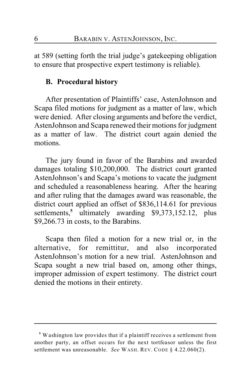at 589 (setting forth the trial judge's gatekeeping obligation to ensure that prospective expert testimony is reliable).

#### **B. Procedural history**

After presentation of Plaintiffs' case, AstenJohnson and Scapa filed motions for judgment as a matter of law, which were denied. After closing arguments and before the verdict, AstenJohnson and Scapa renewed their motions for judgment as a matter of law. The district court again denied the motions.

The jury found in favor of the Barabins and awarded damages totaling \$10,200,000. The district court granted AstenJohnson's and Scapa's motions to vacate the judgment and scheduled a reasonableness hearing. After the hearing and after ruling that the damages award was reasonable, the district court applied an offset of \$836,114.61 for previous settlements,<sup>5</sup> ultimately awarding \$9,373,152.12, plus \$9,266.73 in costs, to the Barabins.

Scapa then filed a motion for a new trial or, in the alternative, for remittitur, and also incorporated AstenJohnson's motion for a new trial. AstenJohnson and Scapa sought a new trial based on, among other things, improper admission of expert testimony. The district court denied the motions in their entirety.

Washington law provides that if a plaintiff receives a settlement from **<sup>5</sup>** another party, an offset occurs for the next tortfeasor unless the first settlement was unreasonable. *See* WASH. REV. CODE § 4.22.060(2).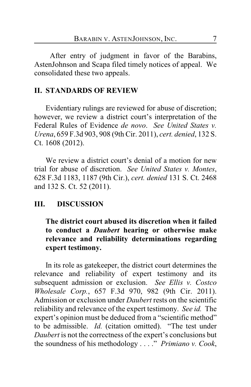After entry of judgment in favor of the Barabins, AstenJohnson and Scapa filed timely notices of appeal. We consolidated these two appeals.

# **II. STANDARDS OF REVIEW**

Evidentiary rulings are reviewed for abuse of discretion; however, we review a district court's interpretation of the Federal Rules of Evidence *de novo*. *See United States v. Urena*, 659 F.3d 903, 908 (9th Cir. 2011), *cert. denied*, 132 S. Ct. 1608 (2012).

We review a district court's denial of a motion for new trial for abuse of discretion. *See United States v. Montes*, 628 F.3d 1183, 1187 (9th Cir.), *cert. denied* 131 S. Ct. 2468 and 132 S. Ct. 52 (2011).

#### **III. DISCUSSION**

**The district court abused its discretion when it failed to conduct a** *Daubert* **hearing or otherwise make relevance and reliability determinations regarding expert testimony.**

In its role as gatekeeper, the district court determines the relevance and reliability of expert testimony and its subsequent admission or exclusion. *See Ellis v. Costco Wholesale Corp.*, 657 F.3d 970, 982 (9th Cir. 2011). Admission or exclusion under *Daubert* rests on the scientific reliability and relevance of the expert testimony. *See id.* The expert's opinion must be deduced from a "scientific method" to be admissible. *Id.* (citation omitted). "The test under *Daubert* is not the correctness of the expert's conclusions but the soundness of his methodology . . . ." *Primiano v. Cook*,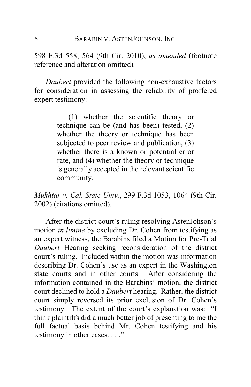598 F.3d 558, 564 (9th Cir. 2010), *as amended* (footnote reference and alteration omitted)*.*

*Daubert* provided the following non-exhaustive factors for consideration in assessing the reliability of proffered expert testimony:

> (1) whether the scientific theory or technique can be (and has been) tested, (2) whether the theory or technique has been subjected to peer review and publication, (3) whether there is a known or potential error rate, and (4) whether the theory or technique is generally accepted in the relevant scientific community.

*Mukhtar v. Cal. State Univ.*, 299 F.3d 1053, 1064 (9th Cir. 2002) (citations omitted).

After the district court's ruling resolving AstenJohson's motion *in limine* by excluding Dr. Cohen from testifying as an expert witness, the Barabins filed a Motion for Pre-Trial *Daubert* Hearing seeking reconsideration of the district court's ruling. Included within the motion was information describing Dr. Cohen's use as an expert in the Washington state courts and in other courts. After considering the information contained in the Barabins' motion, the district court declined to hold a *Daubert* hearing. Rather, the district court simply reversed its prior exclusion of Dr. Cohen's testimony. The extent of the court's explanation was: "I think plaintiffs did a much better job of presenting to me the full factual basis behind Mr. Cohen testifying and his testimony in other cases. . . ."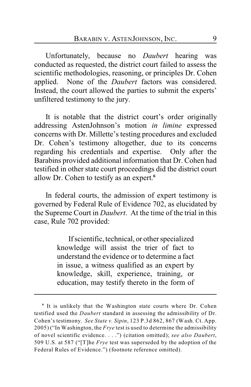Unfortunately, because no *Daubert* hearing was conducted as requested, the district court failed to assess the scientific methodologies, reasoning, or principles Dr. Cohen applied. None of the *Daubert* factors was considered. Instead, the court allowed the parties to submit the experts' unfiltered testimony to the jury.

It is notable that the district court's order originally addressing AstenJohnson's motion *in limine* expressed concerns with Dr. Millette's testing procedures and excluded Dr. Cohen's testimony altogether, due to its concerns regarding his credentials and expertise. Only after the Barabins provided additional information that Dr. Cohen had testified in other state court proceedings did the district court allow Dr. Cohen to testify as an expert. **6**

In federal courts, the admission of expert testimony is governed by Federal Rule of Evidence 702, as elucidated by the Supreme Court in *Daubert*. At the time of the trial in this case, Rule 702 provided:

> If scientific, technical, or other specialized knowledge will assist the trier of fact to understand the evidence or to determine a fact in issue, a witness qualified as an expert by knowledge, skill, experience, training, or education, may testify thereto in the form of

<sup>&</sup>lt;sup>6</sup> It is unlikely that the Washington state courts where Dr. Cohen testified used the *Daubert* standard in assessing the admissibility of Dr. Cohen's testimony. *See State v. Sipin*, 123 P.3d 862, 867 (Wash. Ct. App. 2005) ("In Washington, the *Frye* test is used to determine the admissibility of novel scientific evidence. . . .") (citation omitted); *see also Daubert*, 509 U.S. at 587 ("[T]he *Frye* test was superseded by the adoption of the Federal Rules of Evidence.") (footnote reference omitted).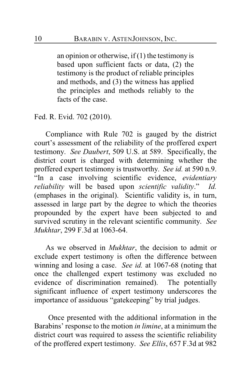an opinion or otherwise, if  $(1)$  the testimony is based upon sufficient facts or data, (2) the testimony is the product of reliable principles and methods, and (3) the witness has applied the principles and methods reliably to the facts of the case.

Fed. R. Evid. 702 (2010).

Compliance with Rule 702 is gauged by the district court's assessment of the reliability of the proffered expert testimony. *See Daubert*, 509 U.S. at 589. Specifically, the district court is charged with determining whether the proffered expert testimony is trustworthy. *See id.* at 590 n.9. "In a case involving scientific evidence, *evidentiary reliability* will be based upon *scientific validity*." *Id.* (emphases in the original). Scientific validity is, in turn, assessed in large part by the degree to which the theories propounded by the expert have been subjected to and survived scrutiny in the relevant scientific community. *See Mukhtar*, 299 F.3d at 1063-64.

As we observed in *Mukhtar*, the decision to admit or exclude expert testimony is often the difference between winning and losing a case. *See id.* at 1067-68 (noting that once the challenged expert testimony was excluded no evidence of discrimination remained). The potentially significant influence of expert testimony underscores the importance of assiduous "gatekeeping" by trial judges.

 Once presented with the additional information in the Barabins' response to the motion *in limine*, at a minimum the district court was required to assess the scientific reliability of the proffered expert testimony. *See Ellis*, 657 F.3d at 982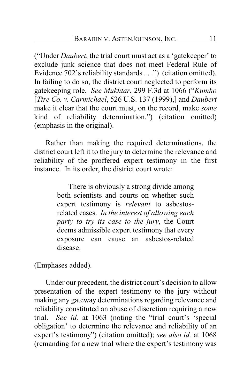("Under *Daubert*, the trial court must act as a 'gatekeeper' to exclude junk science that does not meet Federal Rule of Evidence 702's reliability standards . . .") (citation omitted). In failing to do so, the district court neglected to perform its gatekeeping role. *See Mukhtar*, 299 F.3d at 1066 ("*Kumho* [*Tire Co. v. Carmichael*, 526 U.S. 137 (1999),] and *Daubert* make it clear that the court must, on the record, make *some* kind of reliability determination.") (citation omitted) (emphasis in the original).

Rather than making the required determinations, the district court left it to the jury to determine the relevance and reliability of the proffered expert testimony in the first instance. In its order, the district court wrote:

> There is obviously a strong divide among both scientists and courts on whether such expert testimony is *relevant* to asbestosrelated cases. *In the interest of allowing each party to try its case to the jury*, the Court deems admissible expert testimony that every exposure can cause an asbestos-related disease.

(Emphases added).

Under our precedent, the district court's decision to allow presentation of the expert testimony to the jury without making any gateway determinations regarding relevance and reliability constituted an abuse of discretion requiring a new trial. *See id.* at 1063 (noting the "trial court's 'special obligation' to determine the relevance and reliability of an expert's testimony") (citation omitted); *see also id.* at 1068 (remanding for a new trial where the expert's testimony was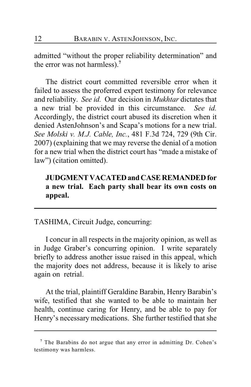admitted "without the proper reliability determination" and the error was not harmless).**<sup>7</sup>**

The district court committed reversible error when it failed to assess the proferred expert testimony for relevance and reliability. *See id.* Our decision in *Mukhtar* dictates that a new trial be provided in this circumstance. *See id.* Accordingly, the district court abused its discretion when it denied AstenJohnson's and Scapa's motions for a new trial. *See Molski v. M.J. Cable, Inc.*, 481 F.3d 724, 729 (9th Cir. 2007) (explaining that we may reverse the denial of a motion for a new trial when the district court has "made a mistake of law") (citation omitted).

# **JUDGMENT VACATED and CASE REMANDED for a new trial. Each party shall bear its own costs on appeal.**

TASHIMA, Circuit Judge, concurring:

I concur in all respects in the majority opinion, as well as in Judge Graber's concurring opinion. I write separately briefly to address another issue raised in this appeal, which the majority does not address, because it is likely to arise again on retrial.

At the trial, plaintiff Geraldine Barabin, Henry Barabin's wife, testified that she wanted to be able to maintain her health, continue caring for Henry, and be able to pay for Henry's necessary medications. She further testified that she

The Barabins do not argue that any error in admitting Dr. Cohen's **<sup>7</sup>** testimony was harmless.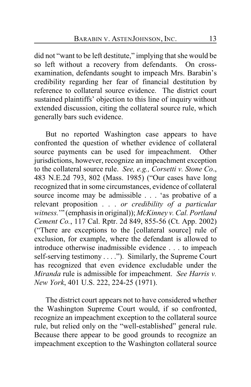did not "want to be left destitute," implying that she would be so left without a recovery from defendants. On crossexamination, defendants sought to impeach Mrs. Barabin's credibility regarding her fear of financial destitution by reference to collateral source evidence. The district court sustained plaintiffs' objection to this line of inquiry without extended discussion, citing the collateral source rule, which generally bars such evidence.

But no reported Washington case appears to have confronted the question of whether evidence of collateral source payments can be used for impeachment. Other jurisdictions, however, recognize an impeachment exception to the collateral source rule. *See, e.g., Corsetti v. Stone Co*., 483 N.E.2d 793, 802 (Mass. 1985) ("Our cases have long recognized that in some circumstances, evidence of collateral source income may be admissible . . . 'as probative of a relevant proposition . . . *or credibility of a particular witness.*'" (emphasis in original)); *McKinney v. Cal. Portland Cement Co.*, 117 Cal. Rptr. 2d 849, 855-56 (Ct. App. 2002) ("There are exceptions to the [collateral source] rule of exclusion, for example, where the defendant is allowed to introduce otherwise inadmissible evidence . . . to impeach self-serving testimony . . . ."). Similarly, the Supreme Court has recognized that even evidence excludable under the *Miranda* rule is admissible for impeachment. *See Harris v. New York*, 401 U.S. 222, 224-25 (1971).

The district court appears not to have considered whether the Washington Supreme Court would, if so confronted, recognize an impeachment exception to the collateral source rule, but relied only on the "well-established" general rule. Because there appear to be good grounds to recognize an impeachment exception to the Washington collateral source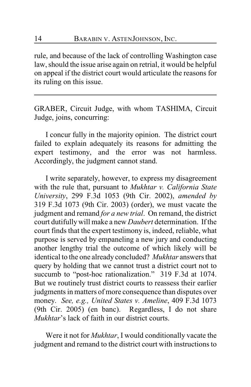rule, and because of the lack of controlling Washington case law, should the issue arise again on retrial, it would be helpful on appeal if the district court would articulate the reasons for its ruling on this issue.

GRABER, Circuit Judge, with whom TASHIMA, Circuit Judge, joins, concurring:

I concur fully in the majority opinion. The district court failed to explain adequately its reasons for admitting the expert testimony, and the error was not harmless. Accordingly, the judgment cannot stand.

I write separately, however, to express my disagreement with the rule that, pursuant to *Mukhtar v. California State University*, 299 F.3d 1053 (9th Cir. 2002), *amended by* 319 F.3d 1073 (9th Cir. 2003) (order), we must vacate the judgment and remand *for a new trial*. On remand, the district court dutifully will make a new *Daubert* determination. If the court finds that the expert testimony is, indeed, reliable, what purpose is served by empaneling a new jury and conducting another lengthy trial the outcome of which likely will be identical to the one already concluded? *Mukhtar* answers that query by holding that we cannot trust a district court not to succumb to "post-hoc rationalization." 319 F.3d at 1074. But we routinely trust district courts to reassess their earlier judgments in matters of more consequence than disputes over money. *See, e.g., United States v. Ameline*, 409 F.3d 1073 (9th Cir. 2005) (en banc). Regardless, I do not share *Mukhtar*'s lack of faith in our district courts.

Were it not for *Mukhtar*, I would conditionally vacate the judgment and remand to the district court with instructions to